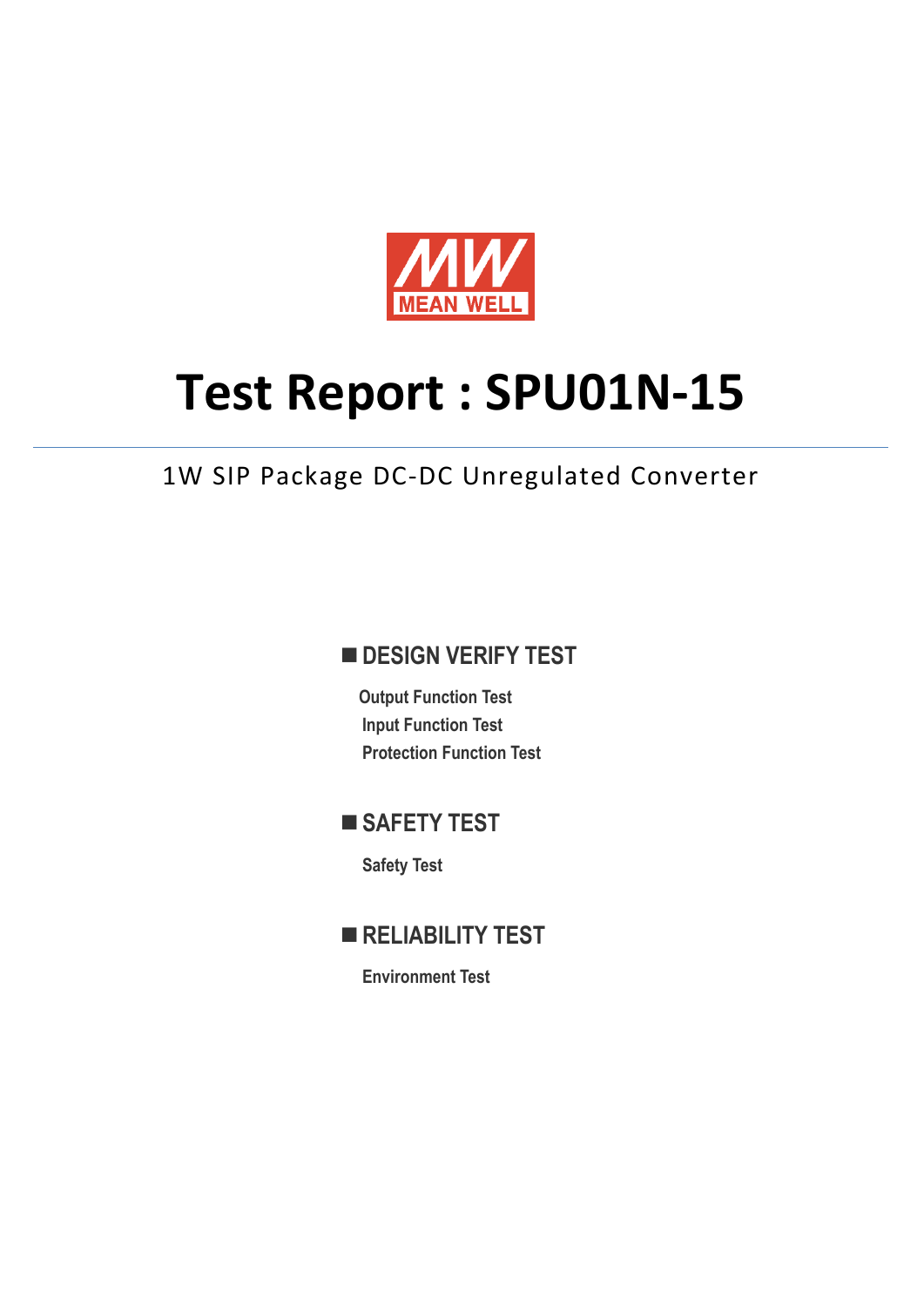

# **Test Report : SPU01N-15**

## 1W SIP Package DC-DC Unregulated Converter

## **DESIGN VERIFY TEST**

**Output Function Test Input Function Test Protection Function Test** 

## **SAFETY TEST**

**Safety Test** 

**RELIABILITY TEST** 

**Environment Test**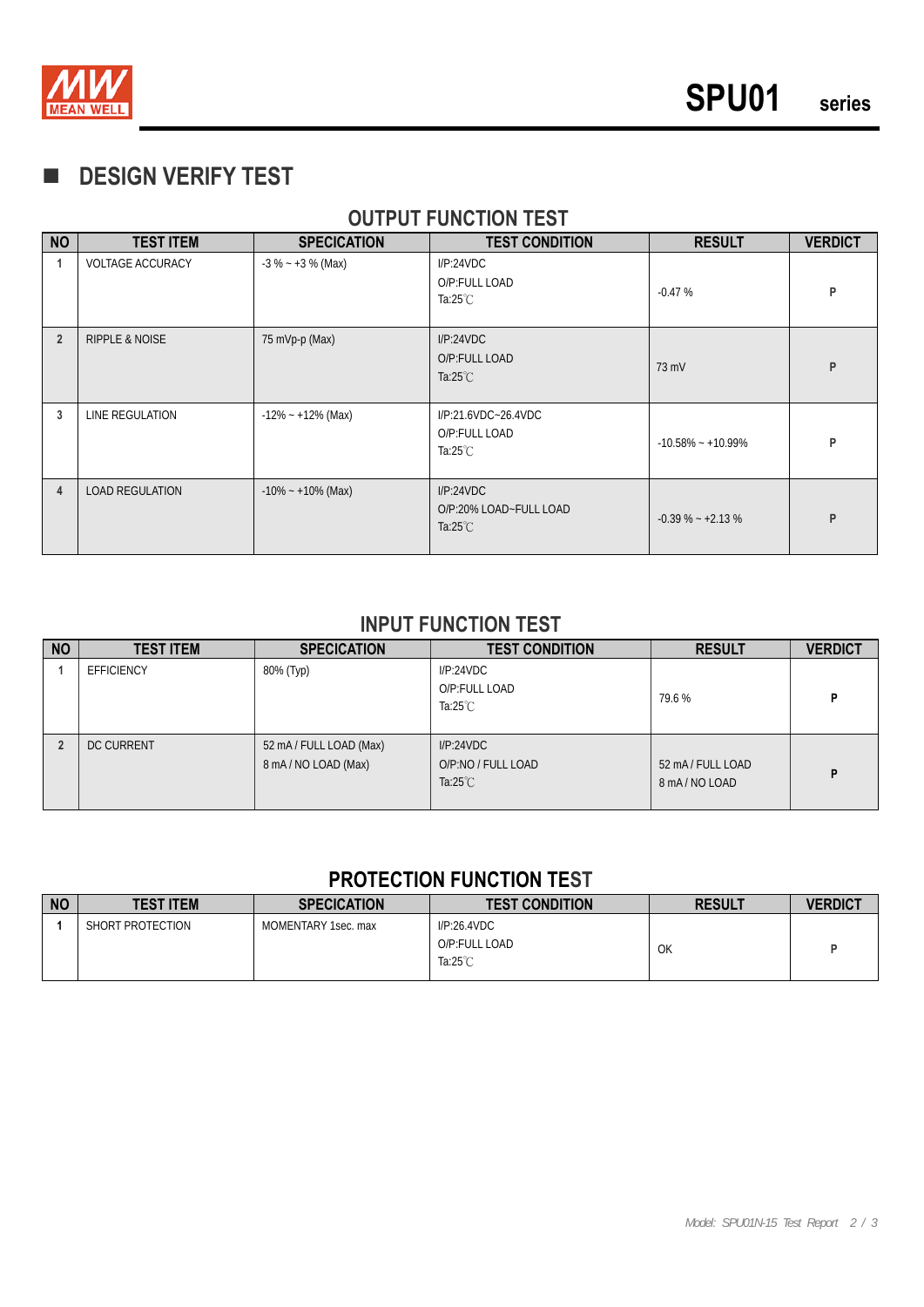

## **DESIGN VERIFY TEST**

#### **OUTPUT FUNCTION TEST**

| <b>NO</b>      | <b>TEST ITEM</b>          | <b>SPECICATION</b>    | <b>TEST CONDITION</b>                                      | <b>RESULT</b>         | <b>VERDICT</b> |
|----------------|---------------------------|-----------------------|------------------------------------------------------------|-----------------------|----------------|
|                | <b>VOLTAGE ACCURACY</b>   | $-3\% - +3\%$ (Max)   | I/P:24VDC<br>O/P:FULL LOAD<br>Ta:25 $°C$                   | $-0.47%$              | P              |
| $\overline{2}$ | <b>RIPPLE &amp; NOISE</b> | 75 mVp-p (Max)        | I/P:24VDC<br>O/P:FULL LOAD<br>Ta: $25^{\circ}$ C           | 73 mV                 | P              |
| 3              | LINE REGULATION           | $-12\% - +12\%$ (Max) | I/P:21.6VDC~26.4VDC<br>O/P:FULL LOAD<br>Ta: $25^{\circ}$ C | $-10.58\% - +10.99\%$ | P              |
| $\overline{4}$ | <b>LOAD REGULATION</b>    | $-10\% - +10\%$ (Max) | I/P:24VDC<br>O/P:20% LOAD~FULL LOAD<br>Ta: $25^{\circ}$ C  | $-0.39\% - +2.13\%$   | P              |

#### **INPUT FUNCTION TEST**

| <b>NO</b> | <b>TEST ITEM</b>  | <b>SPECICATION</b>                            | <b>TEST CONDITION</b>                                 | <b>RESULT</b>                   | <b>VERDICT</b> |
|-----------|-------------------|-----------------------------------------------|-------------------------------------------------------|---------------------------------|----------------|
|           | <b>EFFICIENCY</b> | 80% (Тур)                                     | I/P:24VDC<br>O/P:FULL LOAD<br>Ta: $25^{\circ}$ C      | 79.6%                           | P              |
|           | <b>DC CURRENT</b> | 52 mA / FULL LOAD (Max)<br>8 mA/NO LOAD (Max) | I/P:24VDC<br>O/P:NO / FULL LOAD<br>Ta: $25^{\circ}$ C | 52 mA/FULL LOAD<br>8 mA/NO LOAD | P              |

### **PROTECTION FUNCTION TEST**

| <b>NO</b> | <b>TEST ITEM</b> | <b>SPECICATION</b>  | <b>TEST CONDITION</b>                              | <b>RESULT</b> | <b>VERDICT</b> |
|-----------|------------------|---------------------|----------------------------------------------------|---------------|----------------|
|           | SHORT PROTECTION | MOMENTARY 1sec. max | I/P:26.4VDC<br>O/P:FULL LOAD<br>Ta: $25^{\circ}$ C | OK            |                |